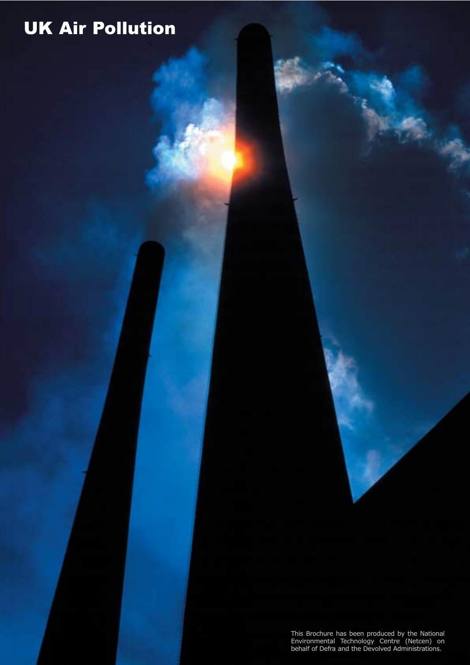This Brochure has been produced by the National Environmental Technology Centre (Netcen) on behalf of Defra and the Devolved Administrations.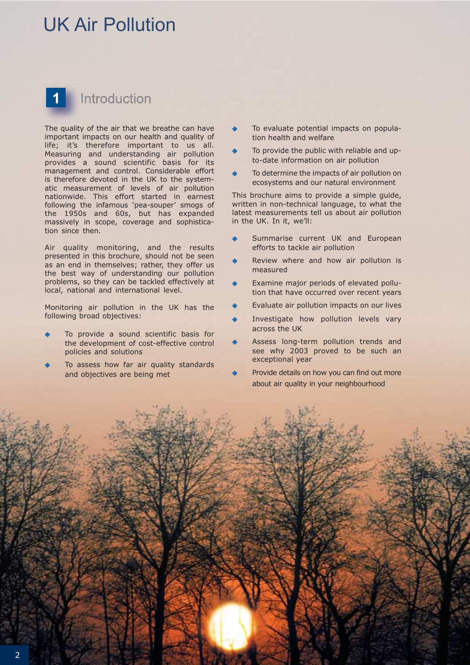# 1 Introduction

The quality of the air that we breathe can have important impacts on our health and quality of life; it's therefore important to us all. Measuring and understanding air pollution provides a sound scientific basis for its management and control. Considerable effort is therefore devoted in the UK to the systematic measurement of levels of air pollution nationwide. This effort started in earnest following the infamous 'pea-souper' smogs of the 1950s and 60s, but has expanded massively in scope, coverage and sophistication since then.

Air quality monitoring, and the results presented in this brochure, should not be seen as an end in themselves; rather, they offer us the best way of understanding our pollution problems, so they can be tackled effectively at local, national and international level.

Monitoring air pollution in the UK has the following broad objectives:

- To provide a sound scientific basis for the development of cost-effective control policies and solutions
- To assess how far air quality standards and objectives are being met
- To evaluate potential impacts on population health and welfare
- To provide the public with reliable and upto-date information on air pollution
- To determine the impacts of air pollution on ecosystems and our natural environment

This brochure aims to provide a simple guide, written in non-technical language, to what the latest measurements tell us about air pollution in the UK. In it, we'll:

- Summarise current UK and European efforts to tackle air pollution
- Review where and how air pollution is measured
- Examine major periods of elevated pollution that have occurred over recent years
- Evaluate air pollution impacts on our lives
- Investigate how pollution levels vary across the UK
- Assess long-term pollution trends and see why 2003 proved to be such an exceptional year
- Provide details on how you can find out more about air quality in your neighbourhood

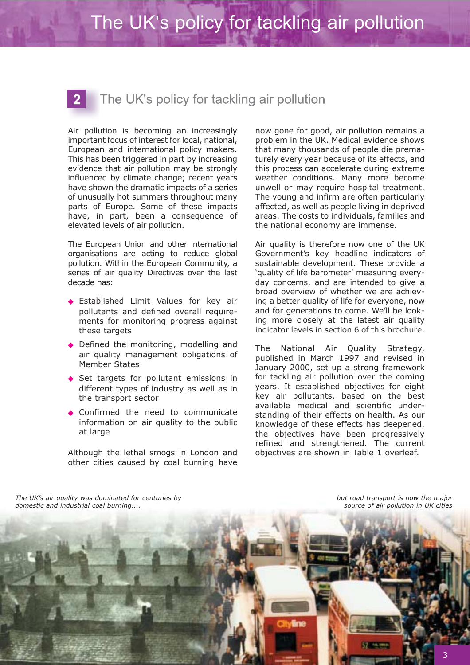## $\mathbf{2}$

## The UK's policy for tackling air pollution

Air pollution is becoming an increasingly important focus of interest for local, national, European and international policy makers. This has been triggered in part by increasing evidence that air pollution may be strongly influenced by climate change; recent years have shown the dramatic impacts of a series of unusually hot summers throughout many parts of Europe. Some of these impacts have, in part, been a consequence of elevated levels of air pollution.

The European Union and other international organisations are acting to reduce global pollution. Within the European Community, a series of air quality Directives over the last decade has:

- ◆ Established Limit Values for key air pollutants and defined overall requirements for monitoring progress against these targets
- ◆ Defined the monitoring, modelling and air quality management obligations of Member States
- Set targets for pollutant emissions in different types of industry as well as in the transport sector
- ◆ Confirmed the need to communicate information on air quality to the public at large

Although the lethal smogs in London and other cities caused by coal burning have

now gone for good, air pollution remains a problem in the UK. Medical evidence shows that many thousands of people die prematurely every year because of its effects, and this process can accelerate during extreme weather conditions. Many more become unwell or may require hospital treatment. The young and infirm are often particularly affected, as well as people living in deprived areas. The costs to individuals, families and the national economy are immense.

Air quality is therefore now one of the UK Government's key headline indicators of sustainable development. These provide a 'quality of life barometer' measuring everyday concerns, and are intended to give a broad overview of whether we are achieving a better quality of life for everyone, now and for generations to come. We'll be looking more closely at the latest air quality indicator levels in section 6 of this brochure.

The National Air Quality Strategy, published in March 1997 and revised in January 2000, set up a strong framework for tackling air pollution over the coming years. It established objectives for eight key air pollutants, based on the best available medical and scientific understanding of their effects on health. As our knowledge of these effects has deepened, the objectives have been progressively refined and strengthened. The current objectives are shown in Table 1 overleaf.

*The UK's air quality was dominated for centuries by domestic and industrial coal burning....*

*but road transport is now the major source of air pollution in UK cities*

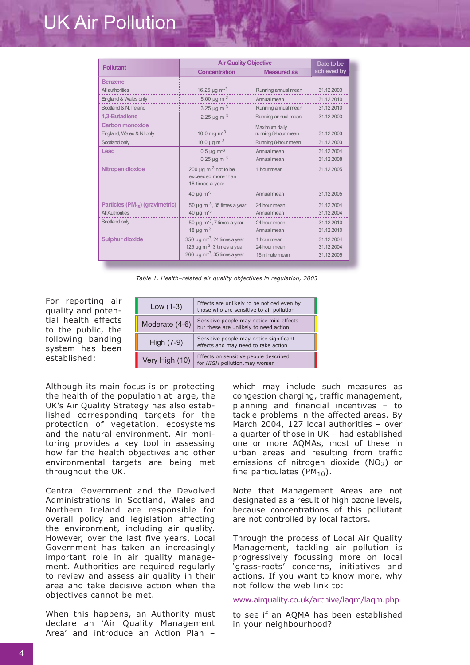| <b>Pollutant</b>                                                      | <b>Air Quality Objective</b>                                                                                                         |                                                         | Date to be                             |
|-----------------------------------------------------------------------|--------------------------------------------------------------------------------------------------------------------------------------|---------------------------------------------------------|----------------------------------------|
|                                                                       | <b>Concentration</b>                                                                                                                 | <b>Measured as</b>                                      | achieved by                            |
| <b>Benzene</b>                                                        |                                                                                                                                      |                                                         |                                        |
| All authorities                                                       | 16.25 $\mu$ g m <sup>-3</sup>                                                                                                        | Running annual mean<br>31.12.2003                       |                                        |
| England & Wales only                                                  | 5.00 $\mu$ g m <sup>-3</sup>                                                                                                         | Annual mean                                             | 31.12.2010                             |
| Scotland & N. Ireland                                                 | 3.25 $\mu$ g m <sup>-3</sup>                                                                                                         | Running annual mean                                     | 31.12.2010                             |
| 1,3-Butadiene                                                         | 2.25 $\mu$ g m <sup>-3</sup>                                                                                                         | Running annual mean                                     | 31.12.2003                             |
| Carbon monoxide<br>England, Wales & NI only                           | 10.0 mg $m^{-3}$                                                                                                                     | Maximum daily<br>running 8-hour mean<br>31.12.2003      |                                        |
| Scotland only                                                         | 10.0 $\mu$ g m <sup>-3</sup>                                                                                                         | Running 8-hour mean                                     | 31.12.2003                             |
| Lead                                                                  | $0.5 \,\mathrm{\mu g \ m^{-3}}$<br>0.25 $\mu$ g m <sup>-3</sup>                                                                      | Annual mean<br>Annual mean                              | 31.12.2004<br>31.12.2008               |
| Nitrogen dioxide                                                      | 200 $\mu$ g m <sup>-3</sup> not to be<br>exceeded more than<br>18 times a year                                                       | 31.12.2005<br>1 hour mean                               |                                        |
|                                                                       | 40 $\mu$ g m <sup>-3</sup>                                                                                                           | Annual mean                                             | 31.12.2005                             |
| Particles (PM <sub>10</sub> ) (gravimetric)<br><b>All Authorities</b> | 50 µg m <sup>-3</sup> , 35 times a year<br>40 $\mu$ g m <sup>-3</sup>                                                                | 31.12.2004<br>24 hour mean<br>31.12.2004<br>Annual mean |                                        |
| Scotland only                                                         | 50 $\mu$ g m <sup>-3</sup> , 7 times a year<br>18 $\mu$ g m <sup>-3</sup>                                                            | 24 hour mean<br>Annual mean                             | 31.12.2010<br>31.12.2010               |
| <b>Sulphur dioxide</b>                                                | 350 µg m <sup>-3</sup> , 24 times a year<br>125 $\mu$ g m <sup>-3</sup> , 3 times a year<br>266 µg m <sup>-3</sup> , 35 times a year | 1 hour mean<br>24 hour mean<br>15 minute mean           | 31.12.2004<br>31.12.2004<br>31.12.2005 |

*Table 1. Health–related air quality objectives in regulation, 2003*

For reporting air quality and potential health effects to the public, the following banding system has been established:

| Low $(1-3)$    | Effects are unlikely to be noticed even by<br>those who are sensitive to air pollution |  |
|----------------|----------------------------------------------------------------------------------------|--|
| Moderate (4-6) | Sensitive people may notice mild effects<br>but these are unlikely to need action      |  |
| High $(7-9)$   | Sensitive people may notice significant<br>effects and may need to take action         |  |
| Very High (10) | Effects on sensitive people described<br>for HIGH pollution, may worsen                |  |

Although its main focus is on protecting the health of the population at large, the UK's Air Quality Strategy has also established corresponding targets for the protection of vegetation, ecosystems and the natural environment. Air monitoring provides a key tool in assessing how far the health objectives and other environmental targets are being met throughout the UK.

Central Government and the Devolved Administrations in Scotland, Wales and Northern Ireland are responsible for overall policy and legislation affecting the environment, including air quality. However, over the last five years, Local Government has taken an increasingly important role in air quality management. Authorities are required regularly to review and assess air quality in their area and take decisive action when the objectives cannot be met.

When this happens, an Authority must declare an 'Air Quality Management Area' and introduce an Action Plan –

which may include such measures as congestion charging, traffic management, planning and financial incentives – to tackle problems in the affected areas. By March 2004, 127 local authorities – over a quarter of those in UK – had established one or more AQMAs, most of these in urban areas and resulting from traffic emissions of nitrogen dioxide  $(NO<sub>2</sub>)$  or fine particulates  $(PM_{10})$ .

Note that Management Areas are not designated as a result of high ozone levels, because concentrations of this pollutant are not controlled by local factors.

Through the process of Local Air Quality Management, tackling air pollution is progressively focussing more on local 'grass-roots' concerns, initiatives and actions. If you want to know more, why not follow the web link to:

#### www.airquality.co.uk/archive/laqm/laqm.php

to see if an AQMA has been established in your neighbourhood?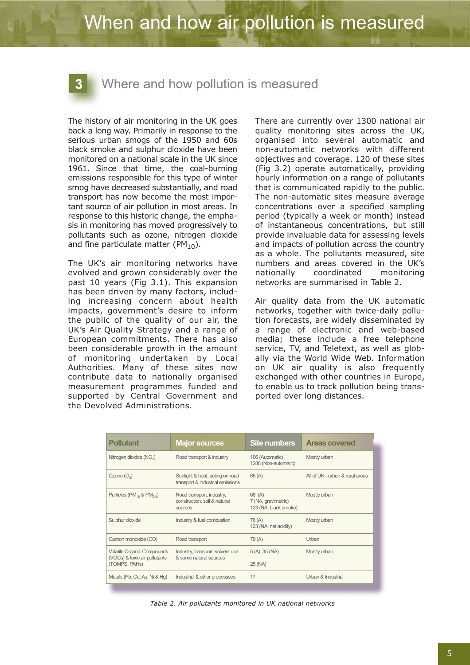# When and how air pollution is measured

### Where and how pollution is measured

The history of air monitoring in the UK goes back a long way. Primarily in response to the serious urban smogs of the 1950 and 60s black smoke and sulphur dioxide have been monitored on a national scale in the UK since 1961. Since that time, the coal-burning emissions responsible for this type of winter smog have decreased substantially, and road transport has now become the most important source of air pollution in most areas. In response to this historic change, the emphasis in monitoring has moved progressively to pollutants such as ozone, nitrogen dioxide and fine particulate matter ( $PM_{10}$ ).

The UK's air monitoring networks have evolved and grown considerably over the past 10 years (Fig 3.1). This expansion has been driven by many factors, including increasing concern about health impacts, government's desire to inform the public of the quality of our air, the UK's Air Quality Strategy and a range of European commitments. There has also been considerable growth in the amount of monitoring undertaken by Local Authorities. Many of these sites now contribute data to nationally organised measurement programmes funded and supported by Central Government and the Devolved Administrations.

There are currently over 1300 national air quality monitoring sites across the UK, organised into several automatic and non-automatic networks with different objectives and coverage. 120 of these sites (Fig 3.2) operate automatically, providing hourly information on a range of pollutants that is communicated rapidly to the public. The non-automatic sites measure average concentrations over a specified sampling period (typically a week or month) instead of instantaneous concentrations, but still provide invaluable data for assessing levels and impacts of pollution across the country as a whole. The pollutants measured, site numbers and areas covered in the UK's nationally coordinated monitoring networks are summarised in Table 2.

Air quality data from the UK automatic networks, together with twice-daily pollution forecasts, are widely disseminated by a range of electronic and web-based media; these include a free telephone service, TV, and Teletext, as well as globally via the World Wide Web. Information on UK air quality is also frequently exchanged with other countries in Europe, to enable us to track pollution being transported over long distances.

| <b>Pollutant</b>                                                      | <b>Major sources</b>                                                 | <b>Site numbers</b>                                    | <b>Areas covered</b>            |
|-----------------------------------------------------------------------|----------------------------------------------------------------------|--------------------------------------------------------|---------------------------------|
| Nitrogen dioxide (NO <sub>2</sub> )                                   | Road transport & industry                                            | 106 (Automatic)<br>1288 (Non-automatic)                | Mostly urban                    |
| Ozone $(O_3)$                                                         | Sunlight & heat, acting on road<br>transport & industrial emissions  | 65(A)                                                  | All of UK - urban & rural areas |
| Particles ( $PM_{10}$ & $PM_{2.5}$ )                                  | Road transport, industry,<br>construction, soil & natural<br>sources | 68 (A)<br>7 (NA, gravimetric)<br>123 (NA, black smoke) | Mostly urban                    |
| Sulphur dioxide                                                       | Industry & fuel combustion                                           | 76 (A)<br>123 (NA, net acidity)                        | Mostly urban                    |
| Carbon monoxide (CO)                                                  | Road transport                                                       | 79(A)                                                  | Urban                           |
| <b>Volatile Organic Compounds</b><br>Industry, transport, solvent use | $5(A)$ 35 (NA)                                                       | Mostly urban                                           |                                 |
| (VOCs) & toxic air pollutants<br>(TOMPS, PAHs)                        | & some natural sources                                               | 25 (NA)                                                |                                 |
| Metals (Pb, Cd, As, Ni & Hg)                                          | Industrial & other processses                                        | 17                                                     | Urban & Industrial              |

*Table 2. Air pollutants monitored in UK national networks*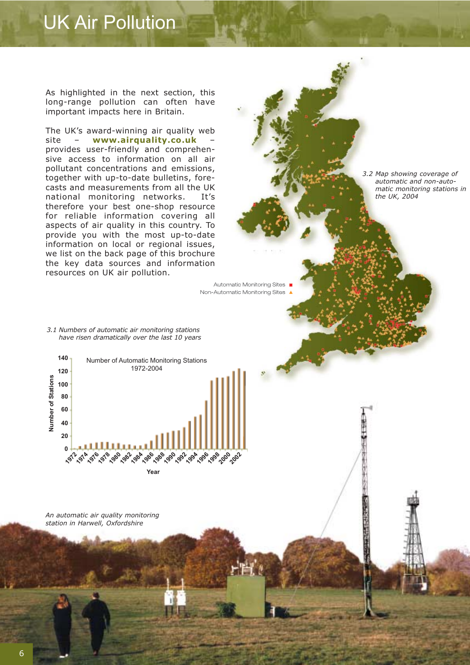As highlighted in the next section, this long-range pollution can often have important impacts here in Britain.

The UK's award-winning air quality web site – **www.airquality.co.uk** – provides user-friendly and comprehensive access to information on all air pollutant concentrations and emissions, together with up-to-date bulletins, forecasts and measurements from all the UK national monitoring networks. It's therefore your best one-shop resource for reliable information covering all aspects of air quality in this country. To provide you with the most up-to-date information on local or regional issues, we list on the back page of this brochure the key data sources and information resources on UK air pollution.

*3.2 Map showing coverage of automatic and non-automatic monitoring stations in the UK, 2004*

Automatic Monitoring Sites ■ Non-Automatic Monitoring Sites

*3.1 Numbers of automatic air monitoring stations have risen dramatically over the last 10 years*



*An automatic air quality monitoring station in Harwell, Oxfordshire*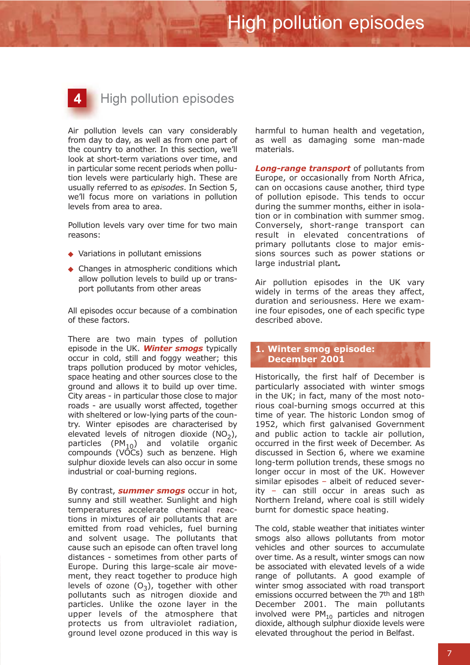# **High pollution episodes**

 $\blacktriangle$ 

Air pollution levels can vary considerably from day to day, as well as from one part of the country to another. In this section, we'll look at short-term variations over time, and in particular some recent periods when pollution levels were particularly high. These are usually referred to as *episodes*. In Section 5, we'll focus more on variations in pollution levels from area to area.

Pollution levels vary over time for two main reasons:

- ◆ Variations in pollutant emissions
- ◆ Changes in atmospheric conditions which allow pollution levels to build up or transport pollutants from other areas

All episodes occur because of a combination of these factors.

There are two main types of pollution episode in the UK. *Winter smogs* typically occur in cold, still and foggy weather; this traps pollution produced by motor vehicles, space heating and other sources close to the ground and allows it to build up over time. City areas - in particular those close to major roads - are usually worst affected, together with sheltered or low-lying parts of the country. Winter episodes are characterised by elevated levels of nitrogen dioxide  $(NO<sub>2</sub>)$ , particles (PM<sub>10</sub>) and volatile organic compounds (VOCs) such as benzene. High sulphur dioxide levels can also occur in some industrial or coal-burning regions.

By contrast, *summer smogs* occur in hot, sunny and still weather. Sunlight and high temperatures accelerate chemical reactions in mixtures of air pollutants that are emitted from road vehicles, fuel burning and solvent usage. The pollutants that cause such an episode can often travel long distances - sometimes from other parts of Europe. During this large-scale air movement, they react together to produce high levels of ozone  $(O_3)$ , together with other pollutants such as nitrogen dioxide and particles. Unlike the ozone layer in the upper levels of the atmosphere that protects us from ultraviolet radiation, ground level ozone produced in this way is harmful to human health and vegetation, as well as damaging some man-made materials.

*Long-range transport* of pollutants from Europe, or occasionally from North Africa, can on occasions cause another, third type of pollution episode. This tends to occur during the summer months, either in isolation or in combination with summer smog. Conversely, short-range transport can result in elevated concentrations of primary pollutants close to major emissions sources such as power stations or large industrial plant*.*

Air pollution episodes in the UK vary widely in terms of the areas they affect, duration and seriousness. Here we examine four episodes, one of each specific type described above.

### **1. Winter smog episode: December 2001**

Historically, the first half of December is particularly associated with winter smogs in the UK; in fact, many of the most notorious coal-burning smogs occurred at this time of year. The historic London smog of 1952, which first galvanised Government and public action to tackle air pollution, occurred in the first week of December. As discussed in Section 6, where we examine long-term pollution trends, these smogs no longer occur in most of the UK. However similar episodes – albeit of reduced severity – can still occur in areas such as Northern Ireland, where coal is still widely burnt for domestic space heating.

The cold, stable weather that initiates winter smogs also allows pollutants from motor vehicles and other sources to accumulate over time. As a result, winter smogs can now be associated with elevated levels of a wide range of pollutants. A good example of winter smog associated with road transport emissions occurred between the 7<sup>th</sup> and 18<sup>th</sup> December 2001. The main pollutants involved were  $PM_{10}$  particles and nitrogen dioxide, although sulphur dioxide levels were elevated throughout the period in Belfast.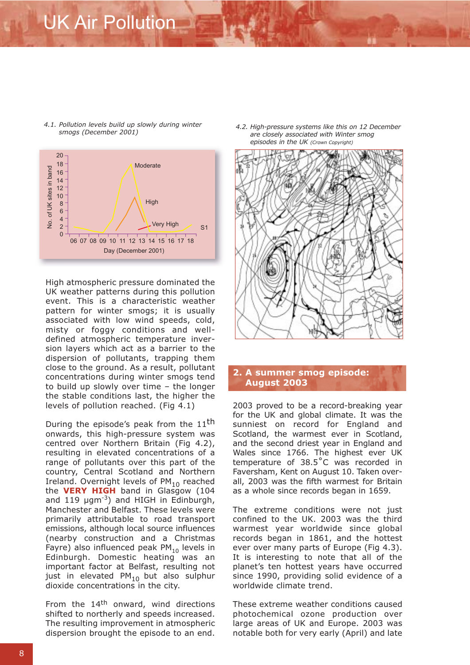

*4.1. Pollution levels build up slowly during winter*

High atmospheric pressure dominated the UK weather patterns during this pollution event. This is a characteristic weather pattern for winter smogs; it is usually associated with low wind speeds, cold, misty or foggy conditions and welldefined atmospheric temperature inversion layers which act as a barrier to the dispersion of pollutants, trapping them close to the ground. As a result, pollutant concentrations during winter smogs tend to build up slowly over time – the longer the stable conditions last, the higher the levels of pollution reached. (Fig 4.1)

During the episode's peak from the  $11<sup>th</sup>$ onwards, this high-pressure system was centred over Northern Britain (Fig 4.2), resulting in elevated concentrations of a range of pollutants over this part of the country, Central Scotland and Northern Ireland. Overnight levels of  $PM_{10}$  reached the **VERY HIGH** band in Glasgow (104 and 119 µgm<sup>-3</sup>) and HIGH in Edinburgh, Manchester and Belfast. These levels were primarily attributable to road transport emissions, although local source influences (nearby construction and a Christmas Fayre) also influenced peak  $PM_{10}$  levels in Edinburgh. Domestic heating was an important factor at Belfast, resulting not just in elevated PM<sub>10</sub> but also sulphur dioxide concentrations in the city.

From the 14<sup>th</sup> onward, wind directions shifted to northerly and speeds increased. The resulting improvement in atmospheric dispersion brought the episode to an end.

*smogs (December 2001) 4.2. High-pressure systems like this on 12 December are closely associated with Winter smog episodes in the UK (Crown Copyright)*



### **2. A summer smog episode: August 2003**

2003 proved to be a record-breaking year for the UK and global climate. It was the sunniest on record for England and Scotland, the warmest ever in Scotland, and the second driest year in England and Wales since 1766. The highest ever UK temperature of 38.5˚C was recorded in Faversham, Kent on August 10. Taken overall, 2003 was the fifth warmest for Britain as a whole since records began in 1659.

The extreme conditions were not just confined to the UK. 2003 was the third warmest year worldwide since global records began in 1861, and the hottest ever over many parts of Europe (Fig 4.3). It is interesting to note that all of the planet's ten hottest years have occurred since 1990, providing solid evidence of a worldwide climate trend.

These extreme weather conditions caused photochemical ozone production over large areas of UK and Europe. 2003 was notable both for very early (April) and late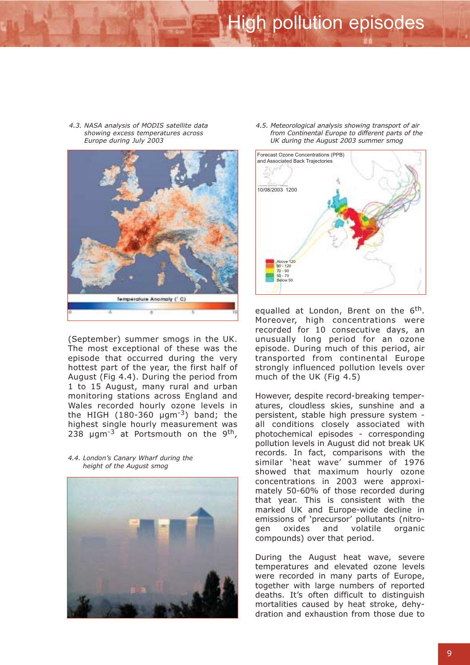*4.3. NASA analysis of MODIS satellite data showing excess temperatures across Europe during July 2003*



(September) summer smogs in the UK. The most exceptional of these was the episode that occurred during the very hottest part of the year, the first half of August (Fig 4.4). During the period from 1 to 15 August, many rural and urban monitoring stations across England and Wales recorded hourly ozone levels in the HIGH  $(180-360 \mu g m^{-3})$  band; the highest single hourly measurement was 238  $\mu$ gm<sup>-3</sup> at Portsmouth on the 9<sup>th</sup>,

*4.4. London's Canary Wharf during the height of the August smog*



*4.5. Meteorological analysis showing transport of air from Continental Europe to different parts of the UK during the August 2003 summer smog*



equalled at London, Brent on the 6<sup>th</sup>. Moreover, high concentrations were recorded for 10 consecutive days, an unusually long period for an ozone episode. During much of this period, air transported from continental Europe strongly influenced pollution levels over much of the UK (Fig 4.5)

However, despite record-breaking temperatures, cloudless skies, sunshine and a persistent, stable high pressure system all conditions closely associated with photochemical episodes - corresponding pollution levels in August did not break UK records. In fact, comparisons with the similar 'heat wave' summer of 1976 showed that maximum hourly ozone concentrations in 2003 were approximately 50-60% of those recorded during that year. This is consistent with the marked UK and Europe-wide decline in emissions of 'precursor' pollutants (nitrogen oxides and volatile organic compounds) over that period.

During the August heat wave, severe temperatures and elevated ozone levels were recorded in many parts of Europe, together with large numbers of reported deaths. It's often difficult to distinguish mortalities caused by heat stroke, dehydration and exhaustion from those due to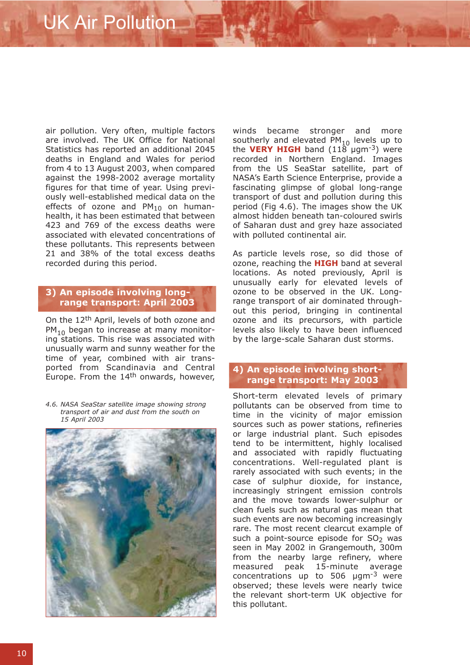air pollution. Very often, multiple factors are involved. The UK Office for National Statistics has reported an additional 2045 deaths in England and Wales for period from 4 to 13 August 2003, when compared against the 1998-2002 average mortality figures for that time of year. Using previously well-established medical data on the effects of ozone and  $PM_{10}$  on humanhealth, it has been estimated that between 423 and 769 of the excess deaths were associated with elevated concentrations of these pollutants. This represents between 21 and 38% of the total excess deaths recorded during this period.

#### **3) An episode involving longrange transport: April 2003**

On the 12<sup>th</sup> April, levels of both ozone and  $PM_{10}$  began to increase at many monitoring stations. This rise was associated with unusually warm and sunny weather for the time of year, combined with air transported from Scandinavia and Central Europe. From the  $14<sup>th</sup>$  onwards, however,

*4.6. NASA SeaStar satellite image showing strong transport of air and dust from the south on 15 April 2003*



winds became stronger and more southerly and elevated  $PM_{10}$  levels up to the **VERY HIGH** band  $(118 \mu m^{-3})$  were recorded in Northern England. Images from the US SeaStar satellite, part of NASA's Earth Science Enterprise, provide a fascinating glimpse of global long-range transport of dust and pollution during this period (Fig 4.6). The images show the UK almost hidden beneath tan-coloured swirls of Saharan dust and grey haze associated with polluted continental air.

As particle levels rose, so did those of ozone, reaching the **HIGH** band at several locations. As noted previously, April is unusually early for elevated levels of ozone to be observed in the UK. Longrange transport of air dominated throughout this period, bringing in continental ozone and its precursors, with particle levels also likely to have been influenced by the large-scale Saharan dust storms.

### **4) An episode involving shortrange transport: May 2003**

Short-term elevated levels of primary pollutants can be observed from time to time in the vicinity of major emission sources such as power stations, refineries or large industrial plant. Such episodes tend to be intermittent, highly localised and associated with rapidly fluctuating concentrations. Well-regulated plant is rarely associated with such events; in the case of sulphur dioxide, for instance, increasingly stringent emission controls and the move towards lower-sulphur or clean fuels such as natural gas mean that such events are now becoming increasingly rare. The most recent clearcut example of such a point-source episode for  $SO<sub>2</sub>$  was seen in May 2002 in Grangemouth, 300m from the nearby large refinery, where measured peak 15-minute average concentrations up to 506  $\mu$ gm<sup>-3</sup> were observed; these levels were nearly twice the relevant short-term UK objective for this pollutant.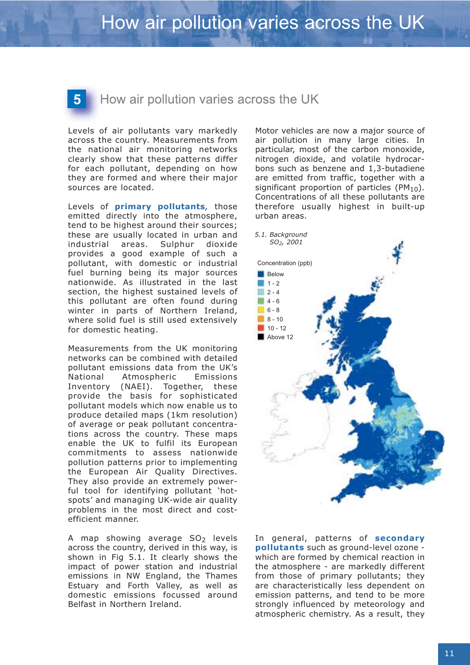How air pollution varies across the UK

Levels of air pollutants vary markedly across the country. Measurements from the national air monitoring networks clearly show that these patterns differ for each pollutant, depending on how they are formed and where their major sources are located.

Levels of **primary pollutants***,* those emitted directly into the atmosphere, tend to be highest around their sources; these are usually located in urban and industrial areas. Sulphur dioxide provides a good example of such a pollutant, with domestic or industrial fuel burning being its major sources nationwide. As illustrated in the last section, the highest sustained levels of this pollutant are often found during winter in parts of Northern Ireland, where solid fuel is still used extensively for domestic heating.

Measurements from the UK monitoring networks can be combined with detailed pollutant emissions data from the UK's National Atmospheric Emissions Inventory (NAEI). Together, these provide the basis for sophisticated pollutant models which now enable us to produce detailed maps (1km resolution) of average or peak pollutant concentrations across the country. These maps enable the UK to fulfil its European commitments to assess nationwide pollution patterns prior to implementing the European Air Quality Directives. They also provide an extremely powerful tool for identifying pollutant 'hotspots' and managing UK-wide air quality problems in the most direct and costefficient manner.

A map showing average  $SO<sub>2</sub>$  levels across the country, derived in this way, is shown in Fig 5.1. It clearly shows the impact of power station and industrial emissions in NW England, the Thames Estuary and Forth Valley, as well as domestic emissions focussed around Belfast in Northern Ireland.

Motor vehicles are now a major source of air pollution in many large cities. In particular, most of the carbon monoxide, nitrogen dioxide, and volatile hydrocarbons such as benzene and 1,3-butadiene are emitted from traffic, together with a significant proportion of particles ( $PM_{10}$ ). Concentrations of all these pollutants are therefore usually highest in built-up urban areas.



In general, patterns of **secondary pollutants** such as ground-level ozone which are formed by chemical reaction in the atmosphere - are markedly different from those of primary pollutants; they are characteristically less dependent on emission patterns, and tend to be more strongly influenced by meteorology and atmospheric chemistry. As a result, they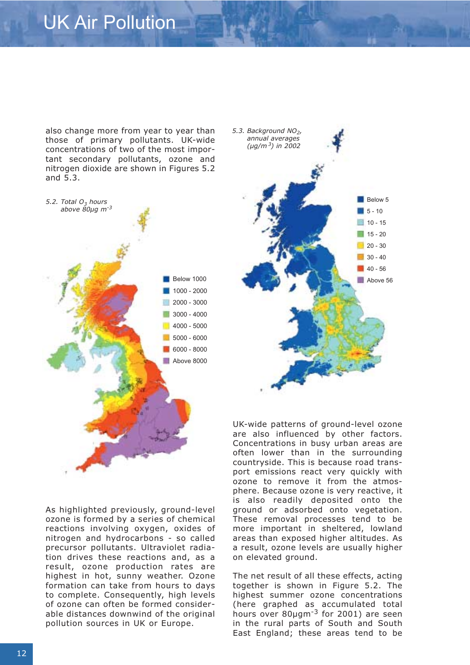also change more from year to year than those of primary pollutants. UK-wide concentrations of two of the most important secondary pollutants, ozone and nitrogen dioxide are shown in Figures 5.2 and 5.3.



Below 5  $15 - 10$  $10 - 15$  $15 - 20$  $20 - 30$  $30 - 40$  $40 - 56$ Above 56 *5.3. Background NO2, annual averages (µg/m 3) in 2002*

As highlighted previously, ground-level ozone is formed by a series of chemical reactions involving oxygen, oxides of nitrogen and hydrocarbons - so called precursor pollutants. Ultraviolet radiation drives these reactions and, as a result, ozone production rates are highest in hot, sunny weather. Ozone formation can take from hours to days to complete. Consequently, high levels of ozone can often be formed considerable distances downwind of the original pollution sources in UK or Europe.

UK-wide patterns of ground-level ozone are also influenced by other factors. Concentrations in busy urban areas are often lower than in the surrounding countryside. This is because road transport emissions react very quickly with ozone to remove it from the atmosphere. Because ozone is very reactive, it is also readily deposited onto the ground or adsorbed onto vegetation. These removal processes tend to be more important in sheltered, lowland areas than exposed higher altitudes. As a result, ozone levels are usually higher on elevated ground.

The net result of all these effects, acting together is shown in Figure 5.2. The highest summer ozone concentrations (here graphed as accumulated total hours over 80µgm<sup>-3</sup> for 2001) are seen in the rural parts of South and South East England; these areas tend to be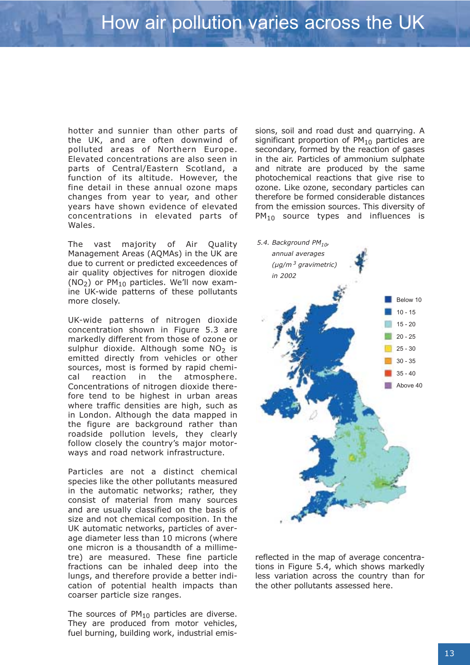hotter and sunnier than other parts of the UK, and are often downwind of polluted areas of Northern Europe. Elevated concentrations are also seen in parts of Central/Eastern Scotland, a function of its altitude. However, the fine detail in these annual ozone maps changes from year to year, and other years have shown evidence of elevated concentrations in elevated parts of Wales.

The vast majority of Air Quality Management Areas (AQMAs) in the UK are due to current or predicted exceedences of air quality objectives for nitrogen dioxide  $(NO<sub>2</sub>)$  or PM<sub>10</sub> particles. We'll now examine UK-wide patterns of these pollutants more closely.

UK-wide patterns of nitrogen dioxide concentration shown in Figure 5.3 are markedly different from those of ozone or sulphur dioxide. Although some  $NO<sub>2</sub>$  is emitted directly from vehicles or other sources, most is formed by rapid chemical reaction in the atmosphere. Concentrations of nitrogen dioxide therefore tend to be highest in urban areas where traffic densities are high, such as in London. Although the data mapped in the figure are background rather than roadside pollution levels, they clearly follow closely the country's major motorways and road network infrastructure.

Particles are not a distinct chemical species like the other pollutants measured in the automatic networks; rather, they consist of material from many sources and are usually classified on the basis of size and not chemical composition. In the UK automatic networks, particles of average diameter less than 10 microns (where one micron is a thousandth of a millimetre) are measured. These fine particle fractions can be inhaled deep into the lungs, and therefore provide a better indication of potential health impacts than coarser particle size ranges.

The sources of  $PM_{10}$  particles are diverse. They are produced from motor vehicles, fuel burning, building work, industrial emissions, soil and road dust and quarrying. A significant proportion of  $PM_{10}$  particles are secondary, formed by the reaction of gases in the air. Particles of ammonium sulphate and nitrate are produced by the same photochemical reactions that give rise to ozone. Like ozone, secondary particles can therefore be formed considerable distances from the emission sources. This diversity of  $PM<sub>10</sub>$  source types and influences is



reflected in the map of average concentrations in Figure 5.4, which shows markedly less variation across the country than for the other pollutants assessed here.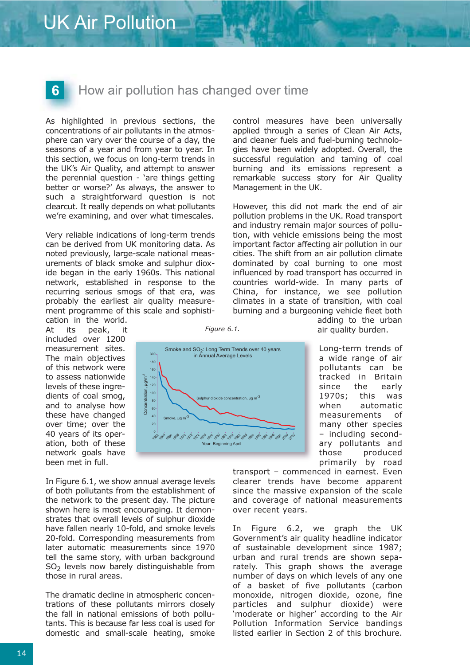# $6<sup>1</sup>$

### How air pollution has changed over time

As highlighted in previous sections, the concentrations of air pollutants in the atmosphere can vary over the course of a day, the seasons of a year and from year to year. In this section, we focus on long-term trends in the UK's Air Quality, and attempt to answer the perennial question - 'are things getting better or worse?' As always, the answer to such a straightforward question is not clearcut. It really depends on what pollutants we're examining, and over what timescales.

Very reliable indications of long-term trends can be derived from UK monitoring data. As noted previously, large-scale national measurements of black smoke and sulphur dioxide began in the early 1960s. This national network, established in response to the recurring serious smogs of that era, was probably the earliest air quality measurement programme of this scale and sophisti-

cation in the world. At its peak, it included over 1200 measurement sites. The main objectives of this network were to assess nationwide levels of these ingredients of coal smog, and to analyse how these have changed over time; over the 40 years of its operation, both of these network goals have been met in full.

In Figure 6.1, we show annual average levels of both pollutants from the establishment of the network to the present day. The picture shown here is most encouraging. It demonstrates that overall levels of sulphur dioxide have fallen nearly 10-fold, and smoke levels 20-fold. Corresponding measurements from later automatic measurements since 1970 tell the same story, with urban background  $SO<sub>2</sub>$  levels now barely distinguishable from those in rural areas.

The dramatic decline in atmospheric concentrations of these pollutants mirrors closely the fall in national emissions of both pollutants. This is because far less coal is used for domestic and small-scale heating, smoke

control measures have been universally applied through a series of Clean Air Acts, and cleaner fuels and fuel-burning technologies have been widely adopted. Overall, the successful regulation and taming of coal burning and its emissions represent a remarkable success story for Air Quality Management in the UK.

However, this did not mark the end of air pollution problems in the UK. Road transport and industry remain major sources of pollution, with vehicle emissions being the most important factor affecting air pollution in our cities. The shift from an air pollution climate dominated by coal burning to one most influenced by road transport has occurred in countries world-wide. In many parts of China, for instance, we see pollution climates in a state of transition, with coal burning and a burgeoning vehicle fleet both



*Figure 6.1.*

adding to the urban air quality burden.

Long-term trends of a wide range of air pollutants can be tracked in Britain since the early 1970s; this was when automatic measurements of many other species – including secondary pollutants and those produced primarily by road

transport – commenced in earnest. Even clearer trends have become apparent since the massive expansion of the scale and coverage of national measurements over recent years.

In Figure 6.2, we graph the UK Government's air quality headline indicator of sustainable development since 1987; urban and rural trends are shown separately. This graph shows the average number of days on which levels of any one of a basket of five pollutants (carbon monoxide, nitrogen dioxide, ozone, fine particles and sulphur dioxide) were 'moderate or higher' according to the Air Pollution Information Service bandings listed earlier in Section 2 of this brochure.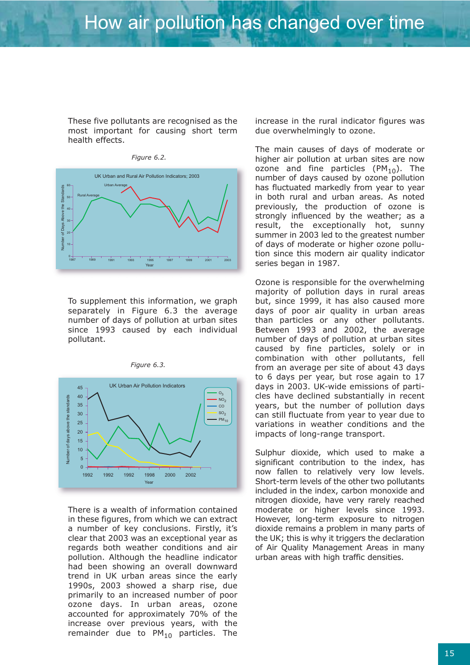These five pollutants are recognised as the most important for causing short term health effects.



To supplement this information, we graph separately in Figure 6.3 the average number of days of pollution at urban sites since 1993 caused by each individual pollutant.



*Figure 6.3.*

There is a wealth of information contained in these figures, from which we can extract a number of key conclusions. Firstly, it's clear that 2003 was an exceptional year as regards both weather conditions and air pollution. Although the headline indicator had been showing an overall downward trend in UK urban areas since the early 1990s, 2003 showed a sharp rise, due primarily to an increased number of poor ozone days. In urban areas, ozone accounted for approximately 70% of the increase over previous years, with the remainder due to  $PM_{10}$  particles. The increase in the rural indicator figures was due overwhelmingly to ozone.

The main causes of days of moderate or higher air pollution at urban sites are now ozone and fine particles  $(PM_{10})$ . The number of days caused by ozone pollution has fluctuated markedly from year to year in both rural and urban areas. As noted previously, the production of ozone is strongly influenced by the weather; as a result, the exceptionally hot, sunny summer in 2003 led to the greatest number of days of moderate or higher ozone pollution since this modern air quality indicator series began in 1987.

Ozone is responsible for the overwhelming majority of pollution days in rural areas but, since 1999, it has also caused more days of poor air quality in urban areas than particles or any other pollutants. Between 1993 and 2002, the average number of days of pollution at urban sites caused by fine particles, solely or in combination with other pollutants, fell from an average per site of about 43 days to 6 days per year, but rose again to 17 days in 2003. UK-wide emissions of particles have declined substantially in recent years, but the number of pollution days can still fluctuate from year to year due to variations in weather conditions and the impacts of long-range transport.

Sulphur dioxide, which used to make a significant contribution to the index, has now fallen to relatively very low levels. Short-term levels of the other two pollutants included in the index, carbon monoxide and nitrogen dioxide, have very rarely reached moderate or higher levels since 1993. However, long-term exposure to nitrogen dioxide remains a problem in many parts of the UK; this is why it triggers the declaration of Air Quality Management Areas in many urban areas with high traffic densities.